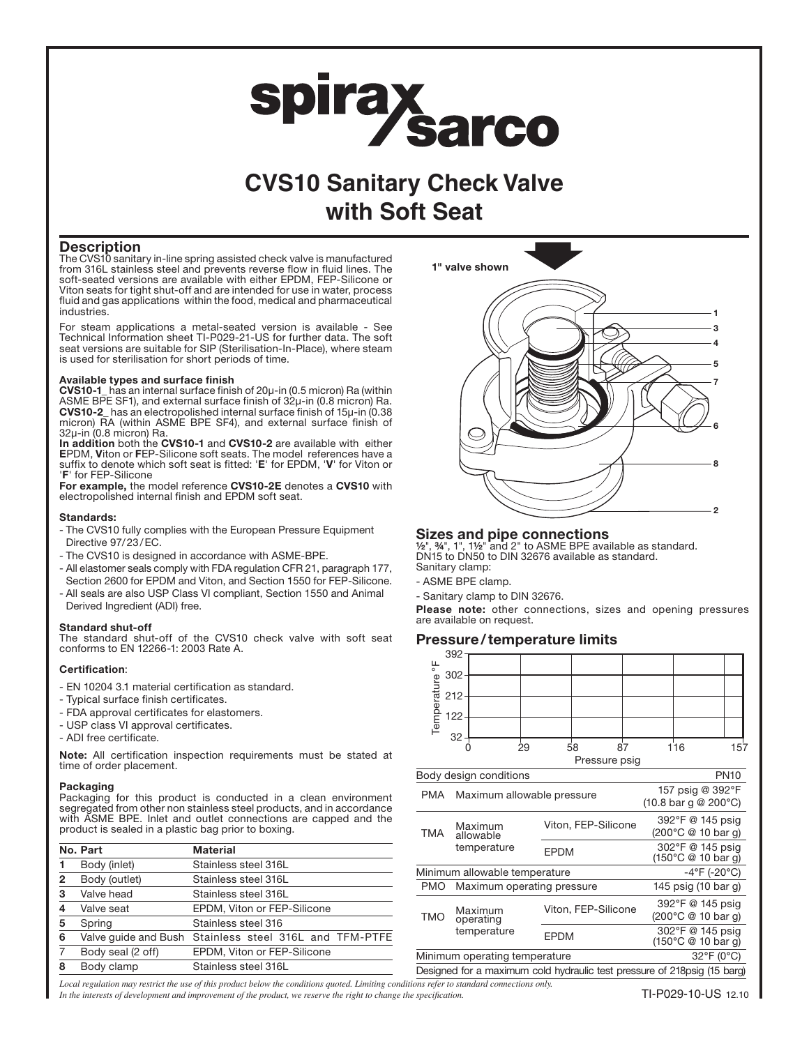# spiraysarco

## **CVS10 Sanitary Check Valve with Soft Seat**

#### **Description**

The CVS10 sanitary in-line spring assisted check valve is manufactured from 316L stainless steel and prevents reverse flow in fluid lines. The soft-seated versions are available with either EPDM, FEP-Silicone or Viton seats for tight shut-off and are intended for use in water, process fluid and gas applications within the food, medical and pharmaceutical industries.

For steam applications a metal-seated version is available - See Technical Information sheet TI-P029-21-US for further data. The soft seat versions are suitable for SIP (Sterilisation-In-Place), where steam is used for sterilisation for short periods of time.

#### Available types and surface finish

CVS10-1\_ has an internal surface finish of 20µ-in (0.5 micron) Ra (within ASME BPE SF1), and external surface finish of 32µ-in (0.8 micron) Ra. CVS10-2\_ has an electropolished internal surface finish of 15µ-in (0.38 micron) RA (within ASME BPE SF4), and external surface finish of 32µ-in (0.8 micron) Ra.

In addition both the CVS10-1 and CVS10-2 are available with either EPDM, Viton or FEP-Silicone soft seats. The model references have a suffix to denote which soft seat is fitted: 'E' for EPDM, 'V' for Viton or 'F' for FEP-Silicone

For example, the model reference CVS10-2E denotes a CVS10 with electropolished internal finish and EPDM soft seat.

#### Standards:

- The CVS10 fully complies with the European Pressure Equipment Directive 97/23/EC.
- The CVS10 is designed in accordance with ASME-BPE.
- All elastomer seals comply with FDA regulation CFR 21, paragraph 177, Section 2600 for EPDM and Viton, and Section 1550 for FEP-Silicone.
- All seals are also USP Class VI compliant, Section 1550 and Animal Derived Ingredient (ADI) free.

#### Standard shut-off

The standard shut-off of the CVS10 check valve with soft seat conforms to EN 12266-1: 2003 Rate A.

#### Certification:

- EN 10204 3.1 material certification as standard.
- Typical surface finish certificates.
- FDA approval certificates for elastomers.
- USP class VI approval certificates.
- ADI free certificate.

Note: All certification inspection requirements must be stated at time of order placement.

#### Packaging

Packaging for this product is conducted in a clean environment segregated from other non stainless steel products, and in accordance with ASME BPE. Inlet and outlet connections are capped and the product is sealed in a plastic bag prior to boxing.

|   | No. Part          | <b>Material</b>                                        |
|---|-------------------|--------------------------------------------------------|
|   | Body (inlet)      | Stainless steel 316L                                   |
| 2 | Body (outlet)     | Stainless steel 316L                                   |
| 3 | Valve head        | Stainless steel 316L                                   |
| 4 | Valve seat        | EPDM, Viton or FEP-Silicone                            |
| 5 | Spring            | Stainless steel 316                                    |
| 6 |                   | Valve quide and Bush Stainless steel 316L and TFM-PTFE |
|   | Body seal (2 off) | EPDM, Viton or FEP-Silicone                            |
| 8 | Body clamp        | Stainless steel 316L                                   |
|   |                   |                                                        |



#### Sizes and pipe connections

½", ¾", 1", 1½" and 2" to ASME BPE available as standard. DN15 to DN50 to DIN 32676 available as standard. Sanitary clamp:

- ASME BPE clamp.
- Sanitary clamp to DIN 32676.

Please note: other connections, sizes and opening pressures are available on request.

#### Pressure/temperature limits



|                                                                           |                                     | $(10.8 \text{ bar } q \& 200^{\circ} \text{C})$ |                                                                               |  |  |
|---------------------------------------------------------------------------|-------------------------------------|-------------------------------------------------|-------------------------------------------------------------------------------|--|--|
|                                                                           | Maximum                             | Viton, FEP-Silicone                             | 392°F @ 145 psig                                                              |  |  |
| <b>TMA</b>                                                                | allowable<br>temperature            |                                                 | (200°C @ 10 bar q)                                                            |  |  |
|                                                                           |                                     | <b>EPDM</b>                                     | 302°F @ 145 psig<br>$(150^{\circ} \text{C} \otimes 10 \text{ bar } \text{g})$ |  |  |
| $-4^{\circ}$ F (-20 $^{\circ}$ C)<br>Minimum allowable temperature        |                                     |                                                 |                                                                               |  |  |
| PMO                                                                       | Maximum operating pressure          | 145 psig (10 bar g)                             |                                                                               |  |  |
|                                                                           | Maximum<br>operating<br>temperature | Viton, FEP-Silicone                             | 392°F @ 145 psig                                                              |  |  |
| <b>TMO</b>                                                                |                                     |                                                 | (200°C @ 10 bar q)                                                            |  |  |
|                                                                           |                                     | <b>EPDM</b>                                     | 302°F @ 145 psig                                                              |  |  |
|                                                                           |                                     |                                                 | $(150^{\circ} \text{C} \ @ \ 10 \text{ bar } \text{g})$                       |  |  |
| 32°F (0°C)<br>Minimum operating temperature                               |                                     |                                                 |                                                                               |  |  |
| Designed for a maximum cold hydraulic test pressure of 218 psig (15 barg) |                                     |                                                 |                                                                               |  |  |

*Local regulation may restrict the use of this product below the conditions quoted. Limiting conditions refer to standard connections only. In the interests of development and improvement of the product, we reserve the right to change the specification.*